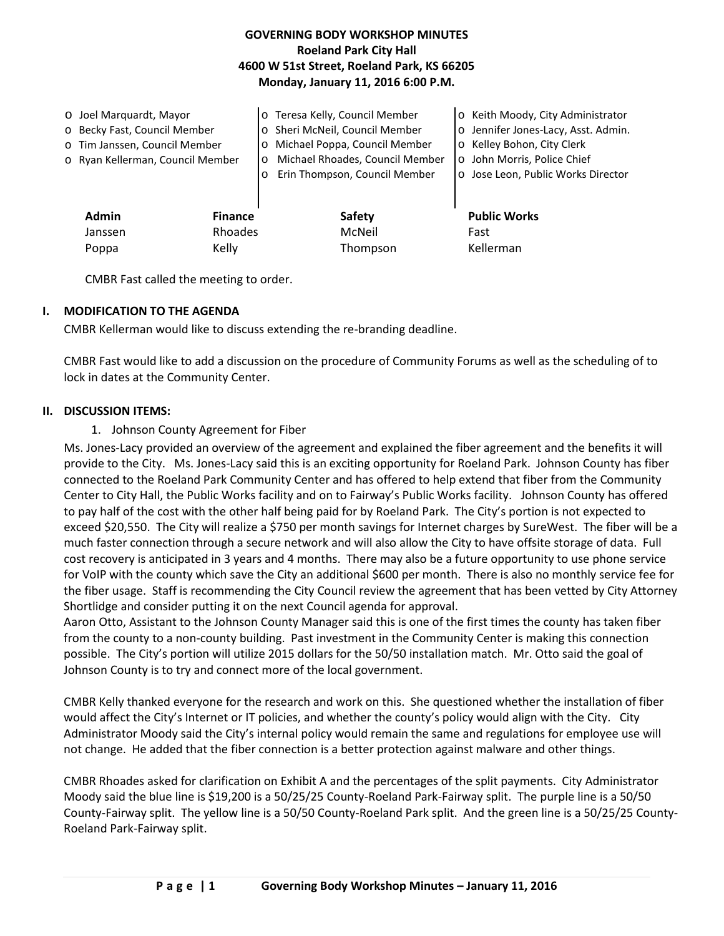## **GOVERNING BODY WORKSHOP MINUTES Roeland Park City Hall 4600 W 51st Street, Roeland Park, KS 66205 Monday, January 11, 2016 6:00 P.M.**

| O Joel Marguardt, Mayor<br>o Becky Fast, Council Member<br>o Tim Janssen, Council Member<br>o Ryan Kellerman, Council Member |                           | o Teresa Kelly, Council Member<br>o Sheri McNeil, Council Member<br>Michael Poppa, Council Member<br>$\circ$<br>Michael Rhoades, Council Member<br>$\circ$<br>Erin Thompson, Council Member<br>$\circ$ | o Keith Moody, City Administrator<br>o Jennifer Jones-Lacy, Asst. Admin.<br>o Kelley Bohon, City Clerk<br>o John Morris, Police Chief<br>o Jose Leon, Public Works Director |
|------------------------------------------------------------------------------------------------------------------------------|---------------------------|--------------------------------------------------------------------------------------------------------------------------------------------------------------------------------------------------------|-----------------------------------------------------------------------------------------------------------------------------------------------------------------------------|
| <b>Admin</b><br>Janssen                                                                                                      | <b>Finance</b><br>Rhoades | Safety<br>McNeil                                                                                                                                                                                       | <b>Public Works</b><br>Fast                                                                                                                                                 |
| Poppa                                                                                                                        | Kelly                     | Thompson                                                                                                                                                                                               | Kellerman                                                                                                                                                                   |

CMBR Fast called the meeting to order.

### **I. MODIFICATION TO THE AGENDA**

CMBR Kellerman would like to discuss extending the re-branding deadline.

CMBR Fast would like to add a discussion on the procedure of Community Forums as well as the scheduling of to lock in dates at the Community Center.

#### **II. DISCUSSION ITEMS:**

### 1. Johnson County Agreement for Fiber

Ms. Jones-Lacy provided an overview of the agreement and explained the fiber agreement and the benefits it will provide to the City. Ms. Jones-Lacy said this is an exciting opportunity for Roeland Park. Johnson County has fiber connected to the Roeland Park Community Center and has offered to help extend that fiber from the Community Center to City Hall, the Public Works facility and on to Fairway's Public Works facility. Johnson County has offered to pay half of the cost with the other half being paid for by Roeland Park. The City's portion is not expected to exceed \$20,550. The City will realize a \$750 per month savings for Internet charges by SureWest. The fiber will be a much faster connection through a secure network and will also allow the City to have offsite storage of data. Full cost recovery is anticipated in 3 years and 4 months. There may also be a future opportunity to use phone service for VoIP with the county which save the City an additional \$600 per month. There is also no monthly service fee for the fiber usage. Staff is recommending the City Council review the agreement that has been vetted by City Attorney Shortlidge and consider putting it on the next Council agenda for approval.

Aaron Otto, Assistant to the Johnson County Manager said this is one of the first times the county has taken fiber from the county to a non-county building. Past investment in the Community Center is making this connection possible. The City's portion will utilize 2015 dollars for the 50/50 installation match. Mr. Otto said the goal of Johnson County is to try and connect more of the local government.

CMBR Kelly thanked everyone for the research and work on this. She questioned whether the installation of fiber would affect the City's Internet or IT policies, and whether the county's policy would align with the City. City Administrator Moody said the City's internal policy would remain the same and regulations for employee use will not change. He added that the fiber connection is a better protection against malware and other things.

CMBR Rhoades asked for clarification on Exhibit A and the percentages of the split payments. City Administrator Moody said the blue line is \$19,200 is a 50/25/25 County-Roeland Park-Fairway split. The purple line is a 50/50 County-Fairway split. The yellow line is a 50/50 County-Roeland Park split. And the green line is a 50/25/25 County-Roeland Park-Fairway split.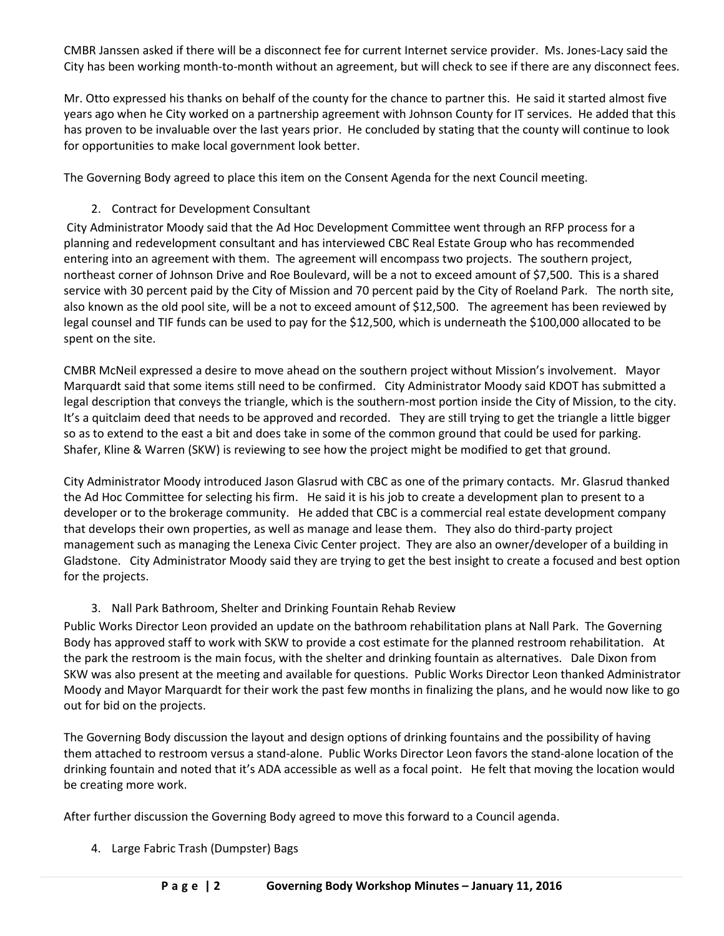CMBR Janssen asked if there will be a disconnect fee for current Internet service provider. Ms. Jones-Lacy said the City has been working month-to-month without an agreement, but will check to see if there are any disconnect fees.

Mr. Otto expressed his thanks on behalf of the county for the chance to partner this. He said it started almost five years ago when he City worked on a partnership agreement with Johnson County for IT services. He added that this has proven to be invaluable over the last years prior. He concluded by stating that the county will continue to look for opportunities to make local government look better.

The Governing Body agreed to place this item on the Consent Agenda for the next Council meeting.

# 2. Contract for Development Consultant

City Administrator Moody said that the Ad Hoc Development Committee went through an RFP process for a planning and redevelopment consultant and has interviewed CBC Real Estate Group who has recommended entering into an agreement with them. The agreement will encompass two projects. The southern project, northeast corner of Johnson Drive and Roe Boulevard, will be a not to exceed amount of \$7,500. This is a shared service with 30 percent paid by the City of Mission and 70 percent paid by the City of Roeland Park. The north site, also known as the old pool site, will be a not to exceed amount of \$12,500. The agreement has been reviewed by legal counsel and TIF funds can be used to pay for the \$12,500, which is underneath the \$100,000 allocated to be spent on the site.

CMBR McNeil expressed a desire to move ahead on the southern project without Mission's involvement. Mayor Marquardt said that some items still need to be confirmed. City Administrator Moody said KDOT has submitted a legal description that conveys the triangle, which is the southern-most portion inside the City of Mission, to the city. It's a quitclaim deed that needs to be approved and recorded. They are still trying to get the triangle a little bigger so as to extend to the east a bit and does take in some of the common ground that could be used for parking. Shafer, Kline & Warren (SKW) is reviewing to see how the project might be modified to get that ground.

City Administrator Moody introduced Jason Glasrud with CBC as one of the primary contacts. Mr. Glasrud thanked the Ad Hoc Committee for selecting his firm. He said it is his job to create a development plan to present to a developer or to the brokerage community. He added that CBC is a commercial real estate development company that develops their own properties, as well as manage and lease them. They also do third-party project management such as managing the Lenexa Civic Center project. They are also an owner/developer of a building in Gladstone. City Administrator Moody said they are trying to get the best insight to create a focused and best option for the projects.

## 3. Nall Park Bathroom, Shelter and Drinking Fountain Rehab Review

Public Works Director Leon provided an update on the bathroom rehabilitation plans at Nall Park. The Governing Body has approved staff to work with SKW to provide a cost estimate for the planned restroom rehabilitation. At the park the restroom is the main focus, with the shelter and drinking fountain as alternatives. Dale Dixon from SKW was also present at the meeting and available for questions. Public Works Director Leon thanked Administrator Moody and Mayor Marquardt for their work the past few months in finalizing the plans, and he would now like to go out for bid on the projects.

The Governing Body discussion the layout and design options of drinking fountains and the possibility of having them attached to restroom versus a stand-alone. Public Works Director Leon favors the stand-alone location of the drinking fountain and noted that it's ADA accessible as well as a focal point. He felt that moving the location would be creating more work.

After further discussion the Governing Body agreed to move this forward to a Council agenda.

4. Large Fabric Trash (Dumpster) Bags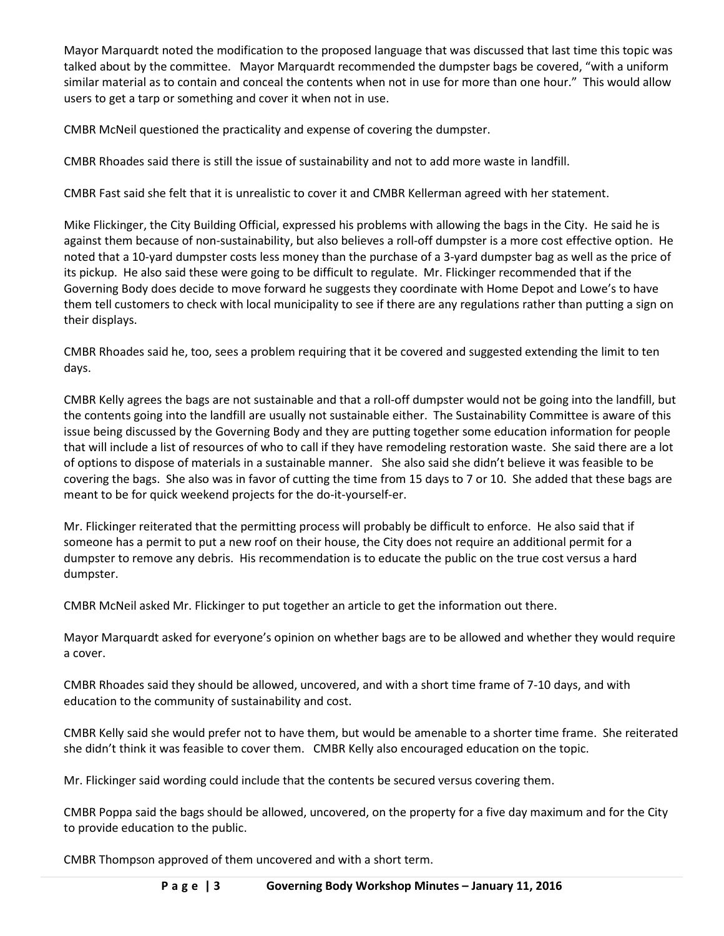Mayor Marquardt noted the modification to the proposed language that was discussed that last time this topic was talked about by the committee. Mayor Marquardt recommended the dumpster bags be covered, "with a uniform similar material as to contain and conceal the contents when not in use for more than one hour." This would allow users to get a tarp or something and cover it when not in use.

CMBR McNeil questioned the practicality and expense of covering the dumpster.

CMBR Rhoades said there is still the issue of sustainability and not to add more waste in landfill.

CMBR Fast said she felt that it is unrealistic to cover it and CMBR Kellerman agreed with her statement.

Mike Flickinger, the City Building Official, expressed his problems with allowing the bags in the City. He said he is against them because of non-sustainability, but also believes a roll-off dumpster is a more cost effective option. He noted that a 10-yard dumpster costs less money than the purchase of a 3-yard dumpster bag as well as the price of its pickup. He also said these were going to be difficult to regulate. Mr. Flickinger recommended that if the Governing Body does decide to move forward he suggests they coordinate with Home Depot and Lowe's to have them tell customers to check with local municipality to see if there are any regulations rather than putting a sign on their displays.

CMBR Rhoades said he, too, sees a problem requiring that it be covered and suggested extending the limit to ten days.

CMBR Kelly agrees the bags are not sustainable and that a roll-off dumpster would not be going into the landfill, but the contents going into the landfill are usually not sustainable either. The Sustainability Committee is aware of this issue being discussed by the Governing Body and they are putting together some education information for people that will include a list of resources of who to call if they have remodeling restoration waste. She said there are a lot of options to dispose of materials in a sustainable manner. She also said she didn't believe it was feasible to be covering the bags. She also was in favor of cutting the time from 15 days to 7 or 10. She added that these bags are meant to be for quick weekend projects for the do-it-yourself-er.

Mr. Flickinger reiterated that the permitting process will probably be difficult to enforce. He also said that if someone has a permit to put a new roof on their house, the City does not require an additional permit for a dumpster to remove any debris. His recommendation is to educate the public on the true cost versus a hard dumpster.

CMBR McNeil asked Mr. Flickinger to put together an article to get the information out there.

Mayor Marquardt asked for everyone's opinion on whether bags are to be allowed and whether they would require a cover.

CMBR Rhoades said they should be allowed, uncovered, and with a short time frame of 7-10 days, and with education to the community of sustainability and cost.

CMBR Kelly said she would prefer not to have them, but would be amenable to a shorter time frame. She reiterated she didn't think it was feasible to cover them. CMBR Kelly also encouraged education on the topic.

Mr. Flickinger said wording could include that the contents be secured versus covering them.

CMBR Poppa said the bags should be allowed, uncovered, on the property for a five day maximum and for the City to provide education to the public.

CMBR Thompson approved of them uncovered and with a short term.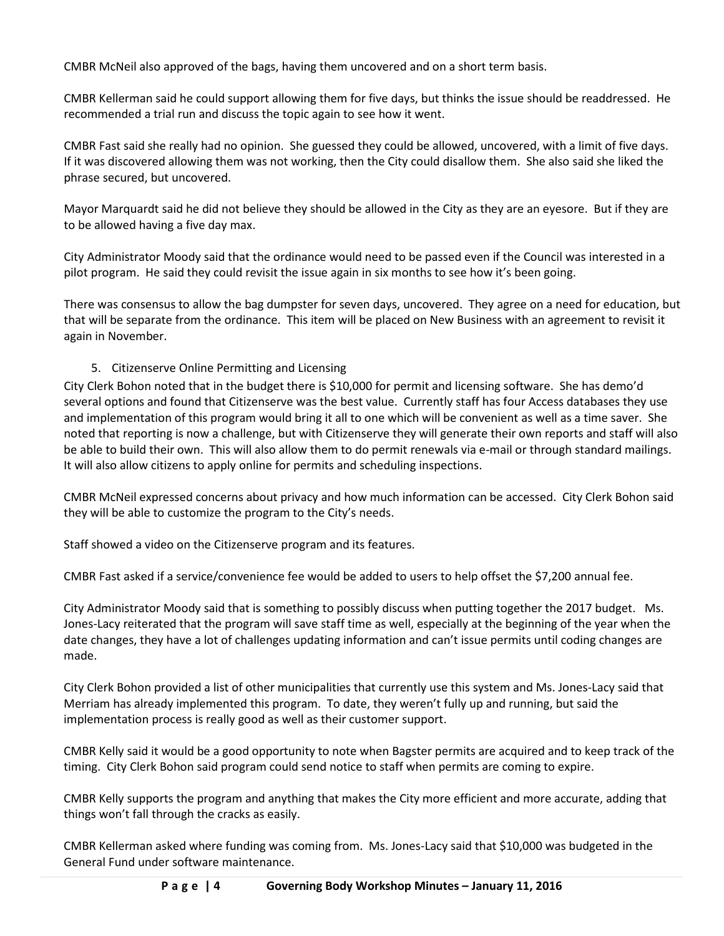CMBR McNeil also approved of the bags, having them uncovered and on a short term basis.

CMBR Kellerman said he could support allowing them for five days, but thinks the issue should be readdressed. He recommended a trial run and discuss the topic again to see how it went.

CMBR Fast said she really had no opinion. She guessed they could be allowed, uncovered, with a limit of five days. If it was discovered allowing them was not working, then the City could disallow them. She also said she liked the phrase secured, but uncovered.

Mayor Marquardt said he did not believe they should be allowed in the City as they are an eyesore. But if they are to be allowed having a five day max.

City Administrator Moody said that the ordinance would need to be passed even if the Council was interested in a pilot program. He said they could revisit the issue again in six months to see how it's been going.

There was consensus to allow the bag dumpster for seven days, uncovered. They agree on a need for education, but that will be separate from the ordinance. This item will be placed on New Business with an agreement to revisit it again in November.

## 5. Citizenserve Online Permitting and Licensing

City Clerk Bohon noted that in the budget there is \$10,000 for permit and licensing software. She has demo'd several options and found that Citizenserve was the best value. Currently staff has four Access databases they use and implementation of this program would bring it all to one which will be convenient as well as a time saver. She noted that reporting is now a challenge, but with Citizenserve they will generate their own reports and staff will also be able to build their own. This will also allow them to do permit renewals via e-mail or through standard mailings. It will also allow citizens to apply online for permits and scheduling inspections.

CMBR McNeil expressed concerns about privacy and how much information can be accessed. City Clerk Bohon said they will be able to customize the program to the City's needs.

Staff showed a video on the Citizenserve program and its features.

CMBR Fast asked if a service/convenience fee would be added to users to help offset the \$7,200 annual fee.

City Administrator Moody said that is something to possibly discuss when putting together the 2017 budget. Ms. Jones-Lacy reiterated that the program will save staff time as well, especially at the beginning of the year when the date changes, they have a lot of challenges updating information and can't issue permits until coding changes are made.

City Clerk Bohon provided a list of other municipalities that currently use this system and Ms. Jones-Lacy said that Merriam has already implemented this program. To date, they weren't fully up and running, but said the implementation process is really good as well as their customer support.

CMBR Kelly said it would be a good opportunity to note when Bagster permits are acquired and to keep track of the timing. City Clerk Bohon said program could send notice to staff when permits are coming to expire.

CMBR Kelly supports the program and anything that makes the City more efficient and more accurate, adding that things won't fall through the cracks as easily.

CMBR Kellerman asked where funding was coming from. Ms. Jones-Lacy said that \$10,000 was budgeted in the General Fund under software maintenance.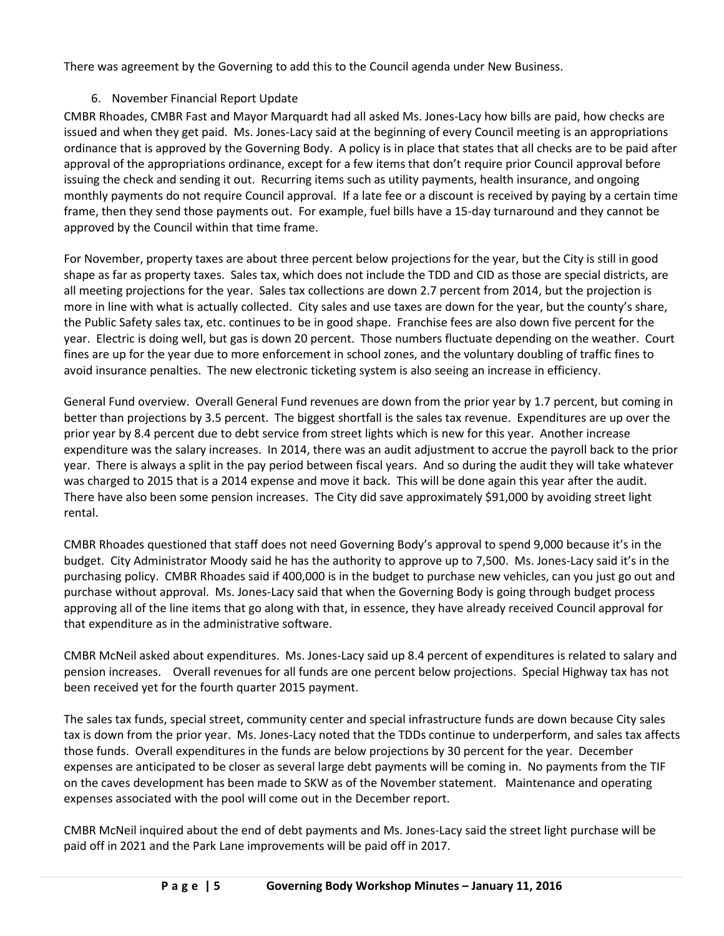There was agreement by the Governing to add this to the Council agenda under New Business.

# 6. November Financial Report Update

CMBR Rhoades, CMBR Fast and Mayor Marquardt had all asked Ms. Jones-Lacy how bills are paid, how checks are issued and when they get paid. Ms. Jones-Lacy said at the beginning of every Council meeting is an appropriations ordinance that is approved by the Governing Body. A policy is in place that states that all checks are to be paid after approval of the appropriations ordinance, except for a few items that don't require prior Council approval before issuing the check and sending it out. Recurring items such as utility payments, health insurance, and ongoing monthly payments do not require Council approval. If a late fee or a discount is received by paying by a certain time frame, then they send those payments out. For example, fuel bills have a 15-day turnaround and they cannot be approved by the Council within that time frame.

For November, property taxes are about three percent below projections for the year, but the City is still in good shape as far as property taxes. Sales tax, which does not include the TDD and CID as those are special districts, are all meeting projections for the year. Sales tax collections are down 2.7 percent from 2014, but the projection is more in line with what is actually collected. City sales and use taxes are down for the year, but the county's share, the Public Safety sales tax, etc. continues to be in good shape. Franchise fees are also down five percent for the year. Electric is doing well, but gas is down 20 percent. Those numbers fluctuate depending on the weather. Court fines are up for the year due to more enforcement in school zones, and the voluntary doubling of traffic fines to avoid insurance penalties. The new electronic ticketing system is also seeing an increase in efficiency.

General Fund overview. Overall General Fund revenues are down from the prior year by 1.7 percent, but coming in better than projections by 3.5 percent. The biggest shortfall is the sales tax revenue. Expenditures are up over the prior year by 8.4 percent due to debt service from street lights which is new for this year. Another increase expenditure was the salary increases. In 2014, there was an audit adjustment to accrue the payroll back to the prior year. There is always a split in the pay period between fiscal years. And so during the audit they will take whatever was charged to 2015 that is a 2014 expense and move it back. This will be done again this year after the audit. There have also been some pension increases. The City did save approximately \$91,000 by avoiding street light rental.

CMBR Rhoades questioned that staff does not need Governing Body's approval to spend 9,000 because it's in the budget. City Administrator Moody said he has the authority to approve up to 7,500. Ms. Jones-Lacy said it's in the purchasing policy. CMBR Rhoades said if 400,000 is in the budget to purchase new vehicles, can you just go out and purchase without approval. Ms. Jones-Lacy said that when the Governing Body is going through budget process approving all of the line items that go along with that, in essence, they have already received Council approval for that expenditure as in the administrative software.

CMBR McNeil asked about expenditures. Ms. Jones-Lacy said up 8.4 percent of expenditures is related to salary and pension increases. Overall revenues for all funds are one percent below projections. Special Highway tax has not been received yet for the fourth quarter 2015 payment.

The sales tax funds, special street, community center and special infrastructure funds are down because City sales tax is down from the prior year. Ms. Jones-Lacy noted that the TDDs continue to underperform, and sales tax affects those funds. Overall expenditures in the funds are below projections by 30 percent for the year. December expenses are anticipated to be closer as several large debt payments will be coming in. No payments from the TIF on the caves development has been made to SKW as of the November statement. Maintenance and operating expenses associated with the pool will come out in the December report.

CMBR McNeil inquired about the end of debt payments and Ms. Jones-Lacy said the street light purchase will be paid off in 2021 and the Park Lane improvements will be paid off in 2017.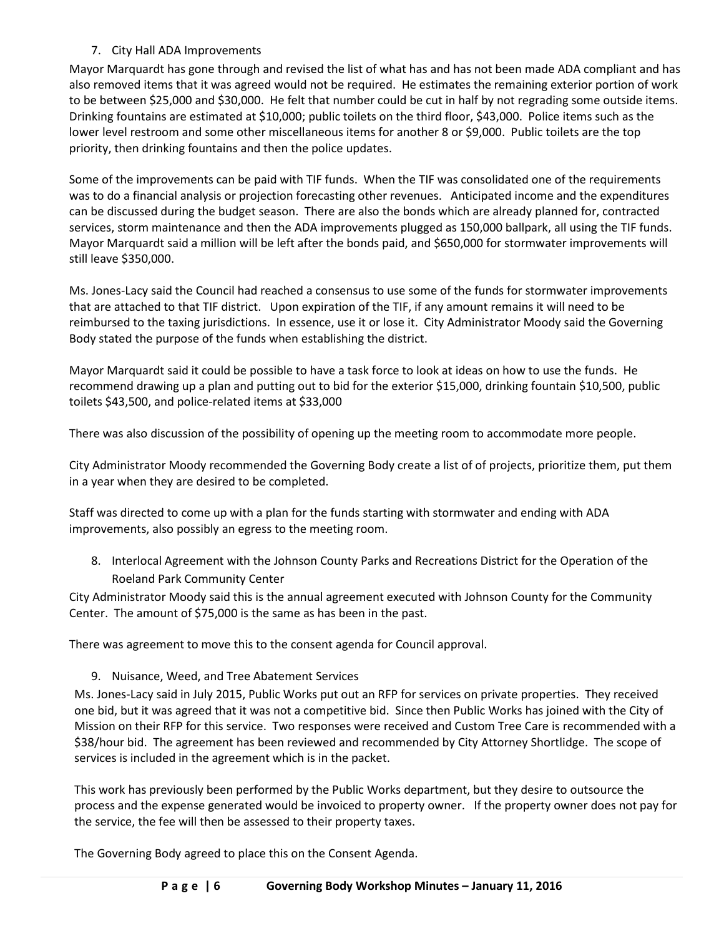# 7. City Hall ADA Improvements

Mayor Marquardt has gone through and revised the list of what has and has not been made ADA compliant and has also removed items that it was agreed would not be required. He estimates the remaining exterior portion of work to be between \$25,000 and \$30,000. He felt that number could be cut in half by not regrading some outside items. Drinking fountains are estimated at \$10,000; public toilets on the third floor, \$43,000. Police items such as the lower level restroom and some other miscellaneous items for another 8 or \$9,000. Public toilets are the top priority, then drinking fountains and then the police updates.

Some of the improvements can be paid with TIF funds. When the TIF was consolidated one of the requirements was to do a financial analysis or projection forecasting other revenues. Anticipated income and the expenditures can be discussed during the budget season. There are also the bonds which are already planned for, contracted services, storm maintenance and then the ADA improvements plugged as 150,000 ballpark, all using the TIF funds. Mayor Marquardt said a million will be left after the bonds paid, and \$650,000 for stormwater improvements will still leave \$350,000.

Ms. Jones-Lacy said the Council had reached a consensus to use some of the funds for stormwater improvements that are attached to that TIF district. Upon expiration of the TIF, if any amount remains it will need to be reimbursed to the taxing jurisdictions. In essence, use it or lose it. City Administrator Moody said the Governing Body stated the purpose of the funds when establishing the district.

Mayor Marquardt said it could be possible to have a task force to look at ideas on how to use the funds. He recommend drawing up a plan and putting out to bid for the exterior \$15,000, drinking fountain \$10,500, public toilets \$43,500, and police-related items at \$33,000

There was also discussion of the possibility of opening up the meeting room to accommodate more people.

City Administrator Moody recommended the Governing Body create a list of of projects, prioritize them, put them in a year when they are desired to be completed.

Staff was directed to come up with a plan for the funds starting with stormwater and ending with ADA improvements, also possibly an egress to the meeting room.

8. Interlocal Agreement with the Johnson County Parks and Recreations District for the Operation of the Roeland Park Community Center

City Administrator Moody said this is the annual agreement executed with Johnson County for the Community Center. The amount of \$75,000 is the same as has been in the past.

There was agreement to move this to the consent agenda for Council approval.

## 9. Nuisance, Weed, and Tree Abatement Services

Ms. Jones-Lacy said in July 2015, Public Works put out an RFP for services on private properties. They received one bid, but it was agreed that it was not a competitive bid. Since then Public Works has joined with the City of Mission on their RFP for this service. Two responses were received and Custom Tree Care is recommended with a \$38/hour bid. The agreement has been reviewed and recommended by City Attorney Shortlidge. The scope of services is included in the agreement which is in the packet.

This work has previously been performed by the Public Works department, but they desire to outsource the process and the expense generated would be invoiced to property owner. If the property owner does not pay for the service, the fee will then be assessed to their property taxes.

The Governing Body agreed to place this on the Consent Agenda.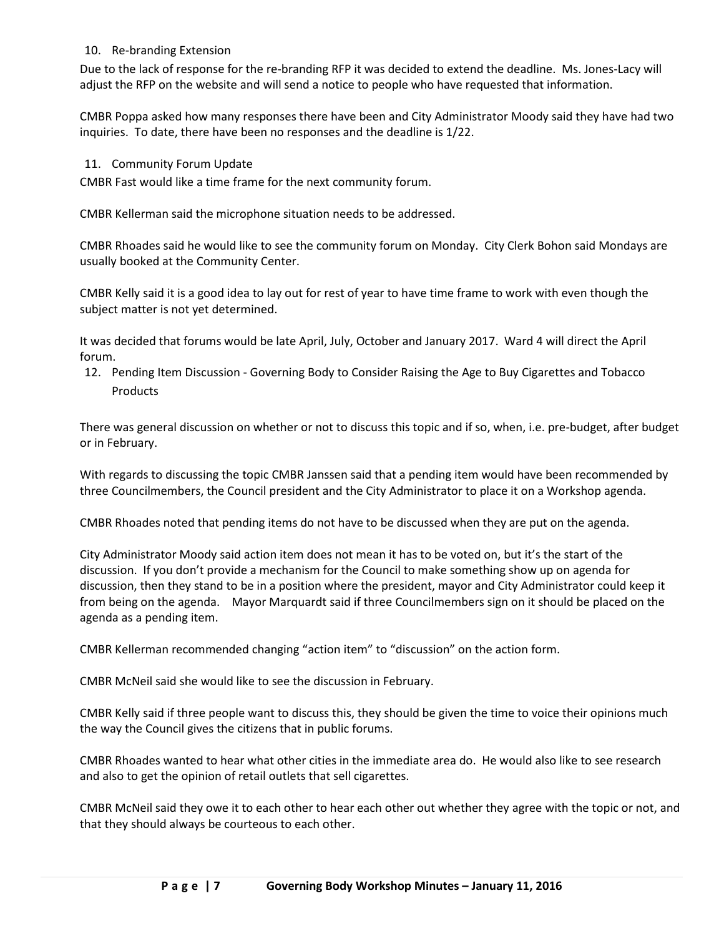### 10. Re-branding Extension

Due to the lack of response for the re-branding RFP it was decided to extend the deadline. Ms. Jones-Lacy will adjust the RFP on the website and will send a notice to people who have requested that information.

CMBR Poppa asked how many responses there have been and City Administrator Moody said they have had two inquiries. To date, there have been no responses and the deadline is 1/22.

### 11. Community Forum Update

CMBR Fast would like a time frame for the next community forum.

CMBR Kellerman said the microphone situation needs to be addressed.

CMBR Rhoades said he would like to see the community forum on Monday. City Clerk Bohon said Mondays are usually booked at the Community Center.

CMBR Kelly said it is a good idea to lay out for rest of year to have time frame to work with even though the subject matter is not yet determined.

It was decided that forums would be late April, July, October and January 2017. Ward 4 will direct the April forum.

12. Pending Item Discussion - Governing Body to Consider Raising the Age to Buy Cigarettes and Tobacco Products

There was general discussion on whether or not to discuss this topic and if so, when, i.e. pre-budget, after budget or in February.

With regards to discussing the topic CMBR Janssen said that a pending item would have been recommended by three Councilmembers, the Council president and the City Administrator to place it on a Workshop agenda.

CMBR Rhoades noted that pending items do not have to be discussed when they are put on the agenda.

City Administrator Moody said action item does not mean it has to be voted on, but it's the start of the discussion. If you don't provide a mechanism for the Council to make something show up on agenda for discussion, then they stand to be in a position where the president, mayor and City Administrator could keep it from being on the agenda. Mayor Marquardt said if three Councilmembers sign on it should be placed on the agenda as a pending item.

CMBR Kellerman recommended changing "action item" to "discussion" on the action form.

CMBR McNeil said she would like to see the discussion in February.

CMBR Kelly said if three people want to discuss this, they should be given the time to voice their opinions much the way the Council gives the citizens that in public forums.

CMBR Rhoades wanted to hear what other cities in the immediate area do. He would also like to see research and also to get the opinion of retail outlets that sell cigarettes.

CMBR McNeil said they owe it to each other to hear each other out whether they agree with the topic or not, and that they should always be courteous to each other.